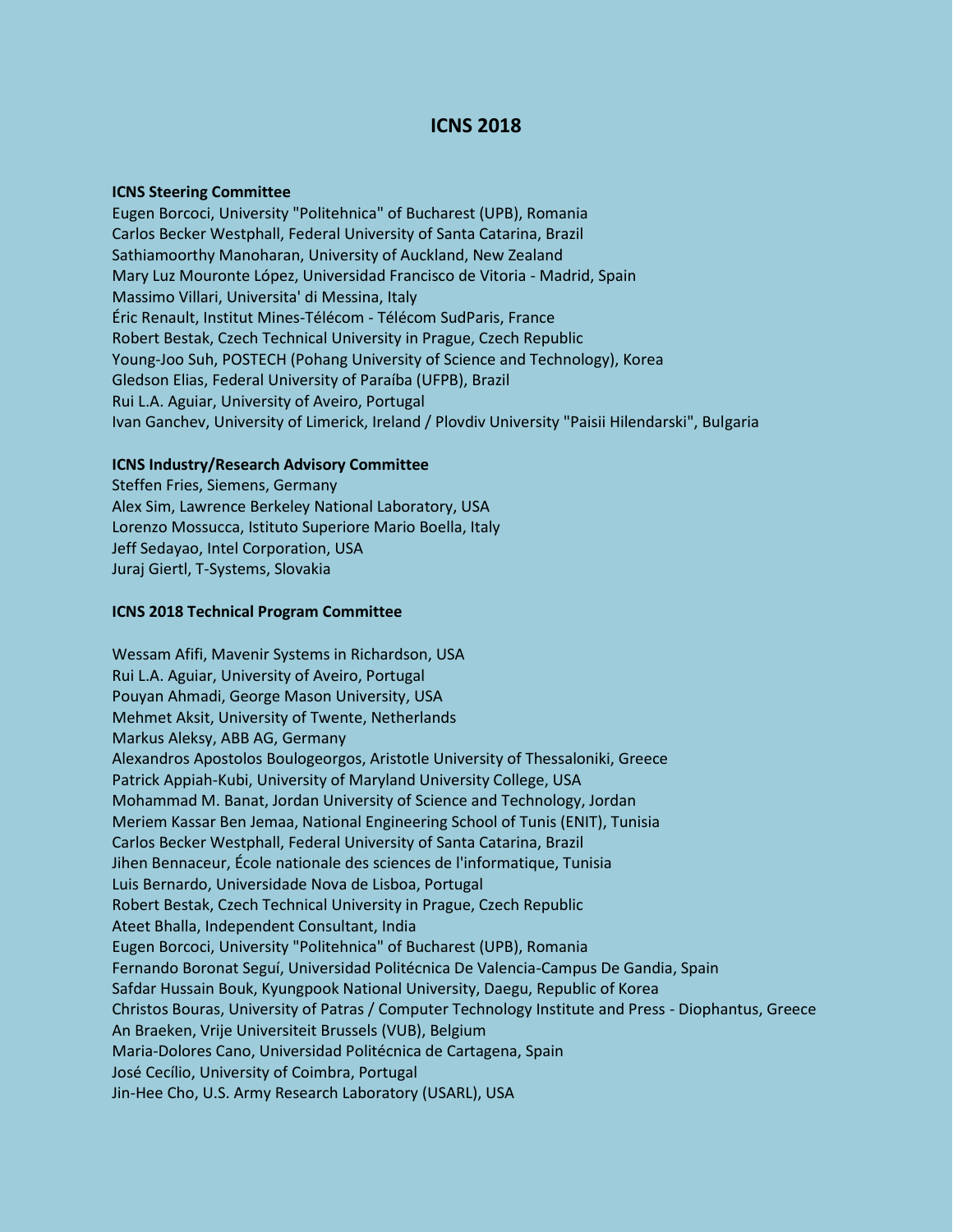## **ICNS 2018**

## **ICNS Steering Committee**

Eugen Borcoci, University "Politehnica" of Bucharest (UPB), Romania Carlos Becker Westphall, Federal University of Santa Catarina, Brazil Sathiamoorthy Manoharan, University of Auckland, New Zealand Mary Luz Mouronte López, Universidad Francisco de Vitoria - Madrid, Spain Massimo Villari, Universita' di Messina, Italy Éric Renault, Institut Mines-Télécom - Télécom SudParis, France Robert Bestak, Czech Technical University in Prague, Czech Republic Young-Joo Suh, POSTECH (Pohang University of Science and Technology), Korea Gledson Elias, Federal University of Paraíba (UFPB), Brazil Rui L.A. Aguiar, University of Aveiro, Portugal Ivan Ganchev, University of Limerick, Ireland / Plovdiv University "Paisii Hilendarski", Bulgaria

## **ICNS Industry/Research Advisory Committee**

Steffen Fries, Siemens, Germany Alex Sim, Lawrence Berkeley National Laboratory, USA Lorenzo Mossucca, Istituto Superiore Mario Boella, Italy Jeff Sedayao, Intel Corporation, USA Juraj Giertl, T-Systems, Slovakia

## **ICNS 2018 Technical Program Committee**

Wessam Afifi, Mavenir Systems in Richardson, USA Rui L.A. Aguiar, University of Aveiro, Portugal Pouyan Ahmadi, George Mason University, USA Mehmet Aksit, University of Twente, Netherlands Markus Aleksy, ABB AG, Germany Alexandros Apostolos Boulogeorgos, Aristotle University of Thessaloniki, Greece Patrick Appiah-Kubi, University of Maryland University College, USA Mohammad M. Banat, Jordan University of Science and Technology, Jordan Meriem Kassar Ben Jemaa, National Engineering School of Tunis (ENIT), Tunisia Carlos Becker Westphall, Federal University of Santa Catarina, Brazil Jihen Bennaceur, École nationale des sciences de l'informatique, Tunisia Luis Bernardo, Universidade Nova de Lisboa, Portugal Robert Bestak, Czech Technical University in Prague, Czech Republic Ateet Bhalla, Independent Consultant, India Eugen Borcoci, University "Politehnica" of Bucharest (UPB), Romania Fernando Boronat Seguí, Universidad Politécnica De Valencia-Campus De Gandia, Spain Safdar Hussain Bouk, Kyungpook National University, Daegu, Republic of Korea Christos Bouras, University of Patras / Computer Technology Institute and Press - Diophantus, Greece An Braeken, Vrije Universiteit Brussels (VUB), Belgium Maria-Dolores Cano, Universidad Politécnica de Cartagena, Spain José Cecílio, University of Coimbra, Portugal Jin-Hee Cho, U.S. Army Research Laboratory (USARL), USA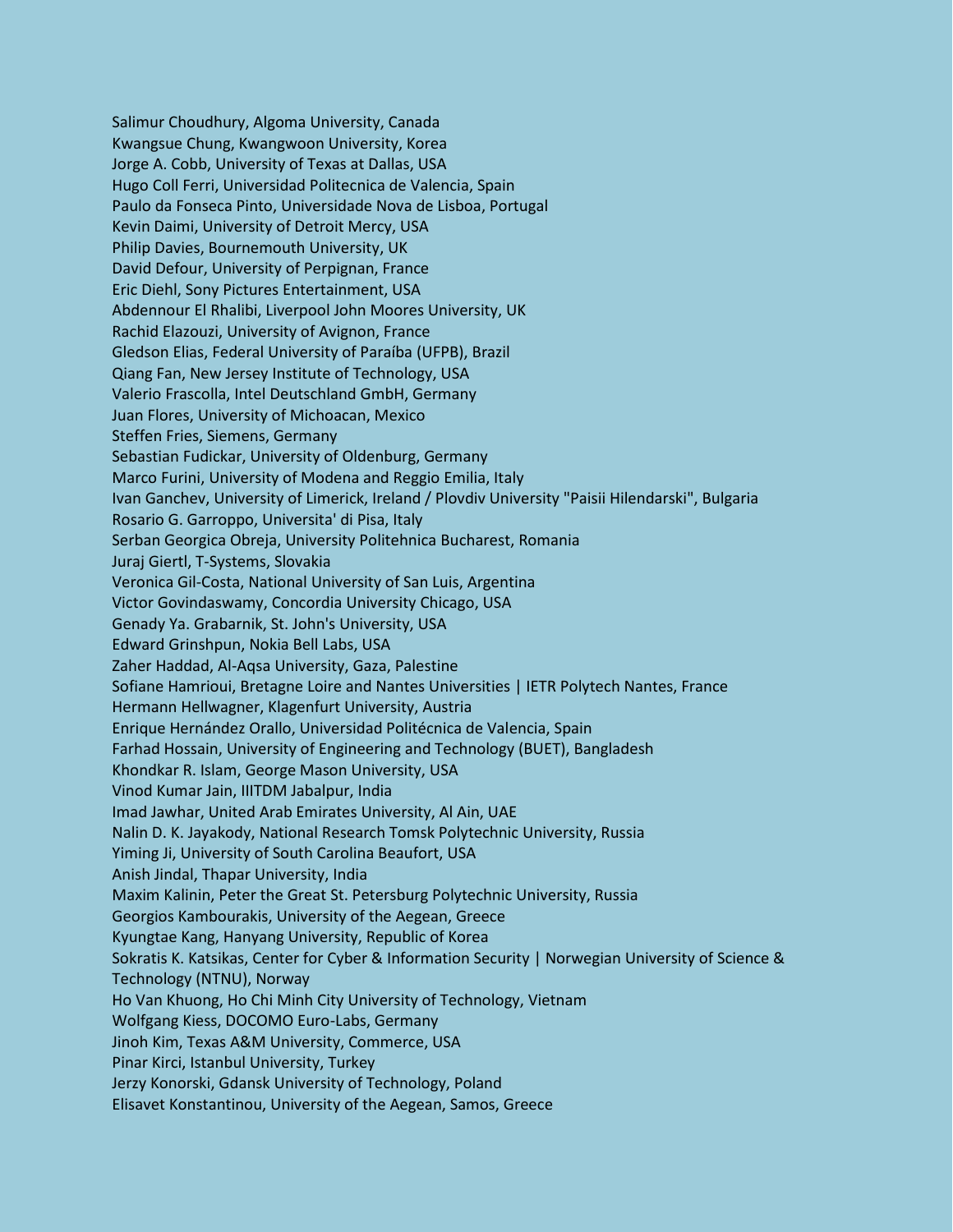Salimur Choudhury, Algoma University, Canada Kwangsue Chung, Kwangwoon University, Korea Jorge A. Cobb, University of Texas at Dallas, USA Hugo Coll Ferri, Universidad Politecnica de Valencia, Spain Paulo da Fonseca Pinto, Universidade Nova de Lisboa, Portugal Kevin Daimi, University of Detroit Mercy, USA Philip Davies, Bournemouth University, UK David Defour, University of Perpignan, France Eric Diehl, Sony Pictures Entertainment, USA Abdennour El Rhalibi, Liverpool John Moores University, UK Rachid Elazouzi, University of Avignon, France Gledson Elias, Federal University of Paraíba (UFPB), Brazil Qiang Fan, New Jersey Institute of Technology, USA Valerio Frascolla, Intel Deutschland GmbH, Germany Juan Flores, University of Michoacan, Mexico Steffen Fries, Siemens, Germany Sebastian Fudickar, University of Oldenburg, Germany Marco Furini, University of Modena and Reggio Emilia, Italy Ivan Ganchev, University of Limerick, Ireland / Plovdiv University "Paisii Hilendarski", Bulgaria Rosario G. Garroppo, Universita' di Pisa, Italy Serban Georgica Obreja, University Politehnica Bucharest, Romania Juraj Giertl, T-Systems, Slovakia Veronica Gil-Costa, National University of San Luis, Argentina Victor Govindaswamy, Concordia University Chicago, USA Genady Ya. Grabarnik, St. John's University, USA Edward Grinshpun, Nokia Bell Labs, USA Zaher Haddad, Al-Aqsa University, Gaza, Palestine Sofiane Hamrioui, Bretagne Loire and Nantes Universities | IETR Polytech Nantes, France Hermann Hellwagner, Klagenfurt University, Austria Enrique Hernández Orallo, Universidad Politécnica de Valencia, Spain Farhad Hossain, University of Engineering and Technology (BUET), Bangladesh Khondkar R. Islam, George Mason University, USA Vinod Kumar Jain, IIITDM Jabalpur, India Imad Jawhar, United Arab Emirates University, Al Ain, UAE Nalin D. K. Jayakody, National Research Tomsk Polytechnic University, Russia Yiming Ji, University of South Carolina Beaufort, USA Anish Jindal, Thapar University, India Maxim Kalinin, Peter the Great St. Petersburg Polytechnic University, Russia Georgios Kambourakis, University of the Aegean, Greece Kyungtae Kang, Hanyang University, Republic of Korea Sokratis K. Katsikas, Center for Cyber & Information Security | Norwegian University of Science & Technology (NTNU), Norway Ho Van Khuong, Ho Chi Minh City University of Technology, Vietnam Wolfgang Kiess, DOCOMO Euro-Labs, Germany Jinoh Kim, Texas A&M University, Commerce, USA Pinar Kirci, Istanbul University, Turkey Jerzy Konorski, Gdansk University of Technology, Poland Elisavet Konstantinou, University of the Aegean, Samos, Greece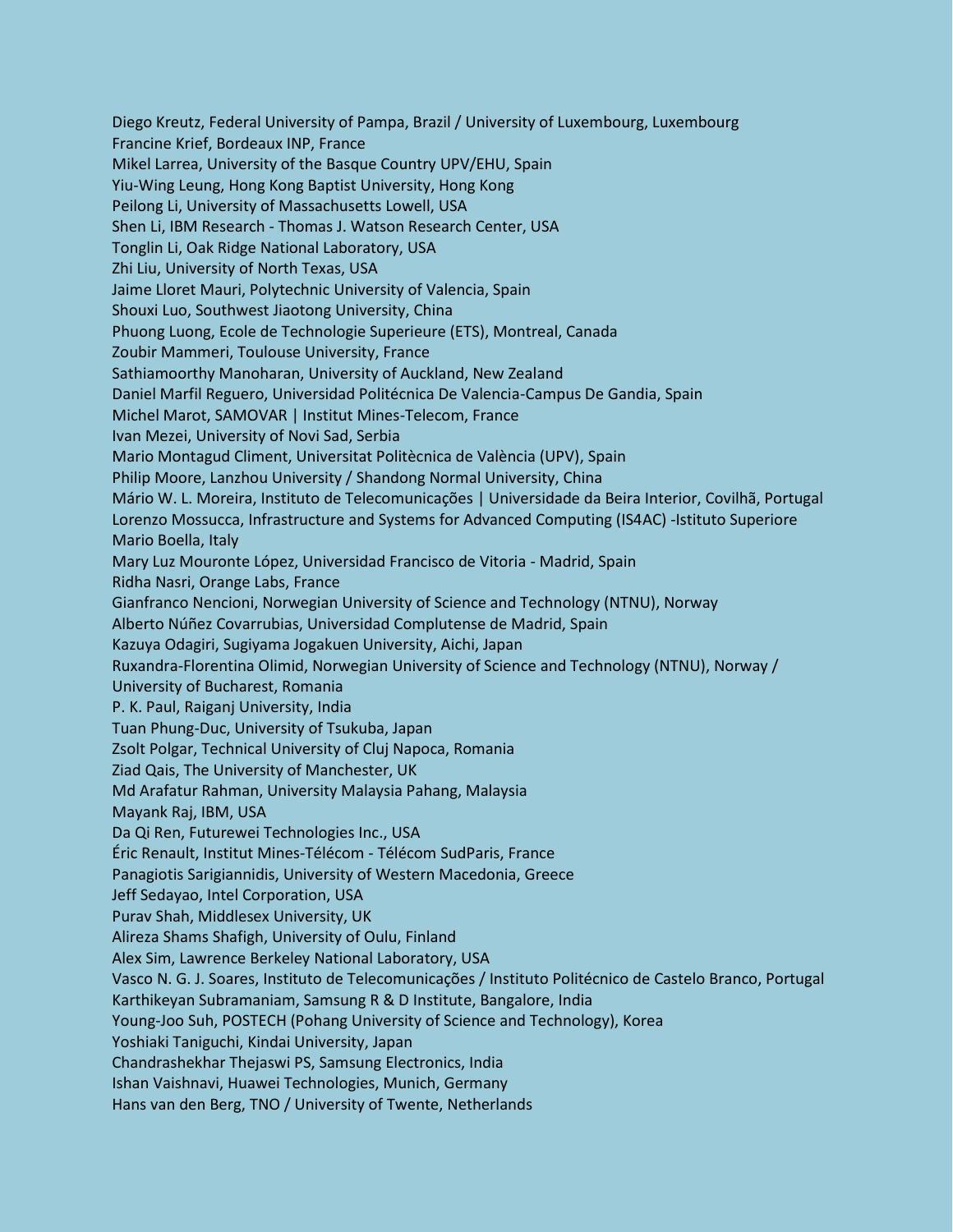Diego Kreutz, Federal University of Pampa, Brazil / University of Luxembourg, Luxembourg Francine Krief, Bordeaux INP, France Mikel Larrea, University of the Basque Country UPV/EHU, Spain Yiu-Wing Leung, Hong Kong Baptist University, Hong Kong Peilong Li, University of Massachusetts Lowell, USA Shen Li, IBM Research - Thomas J. Watson Research Center, USA Tonglin Li, Oak Ridge National Laboratory, USA Zhi Liu, University of North Texas, USA Jaime Lloret Mauri, Polytechnic University of Valencia, Spain Shouxi Luo, Southwest Jiaotong University, China Phuong Luong, Ecole de Technologie Superieure (ETS), Montreal, Canada Zoubir Mammeri, Toulouse University, France Sathiamoorthy Manoharan, University of Auckland, New Zealand Daniel Marfil Reguero, Universidad Politécnica De Valencia-Campus De Gandia, Spain Michel Marot, SAMOVAR | Institut Mines-Telecom, France Ivan Mezei, University of Novi Sad, Serbia Mario Montagud Climent, Universitat Politècnica de València (UPV), Spain Philip Moore, Lanzhou University / Shandong Normal University, China Mário W. L. Moreira, Instituto de Telecomunicações | Universidade da Beira Interior, Covilhã, Portugal Lorenzo Mossucca, Infrastructure and Systems for Advanced Computing (IS4AC) -Istituto Superiore Mario Boella, Italy Mary Luz Mouronte López, Universidad Francisco de Vitoria - Madrid, Spain Ridha Nasri, Orange Labs, France Gianfranco Nencioni, Norwegian University of Science and Technology (NTNU), Norway Alberto Núñez Covarrubias, Universidad Complutense de Madrid, Spain Kazuya Odagiri, Sugiyama Jogakuen University, Aichi, Japan Ruxandra-Florentina Olimid, Norwegian University of Science and Technology (NTNU), Norway / University of Bucharest, Romania P. K. Paul, Raiganj University, India Tuan Phung-Duc, University of Tsukuba, Japan Zsolt Polgar, Technical University of Cluj Napoca, Romania Ziad Qais, The University of Manchester, UK Md Arafatur Rahman, University Malaysia Pahang, Malaysia Mayank Raj, IBM, USA Da Qi Ren, Futurewei Technologies Inc., USA Éric Renault, Institut Mines-Télécom - Télécom SudParis, France Panagiotis Sarigiannidis, University of Western Macedonia, Greece Jeff Sedayao, Intel Corporation, USA Purav Shah, Middlesex University, UK Alireza Shams Shafigh, University of Oulu, Finland Alex Sim, Lawrence Berkeley National Laboratory, USA Vasco N. G. J. Soares, Instituto de Telecomunicações / Instituto Politécnico de Castelo Branco, Portugal Karthikeyan Subramaniam, Samsung R & D Institute, Bangalore, India Young-Joo Suh, POSTECH (Pohang University of Science and Technology), Korea Yoshiaki Taniguchi, Kindai University, Japan Chandrashekhar Thejaswi PS, Samsung Electronics, India Ishan Vaishnavi, Huawei Technologies, Munich, Germany Hans van den Berg, TNO / University of Twente, Netherlands